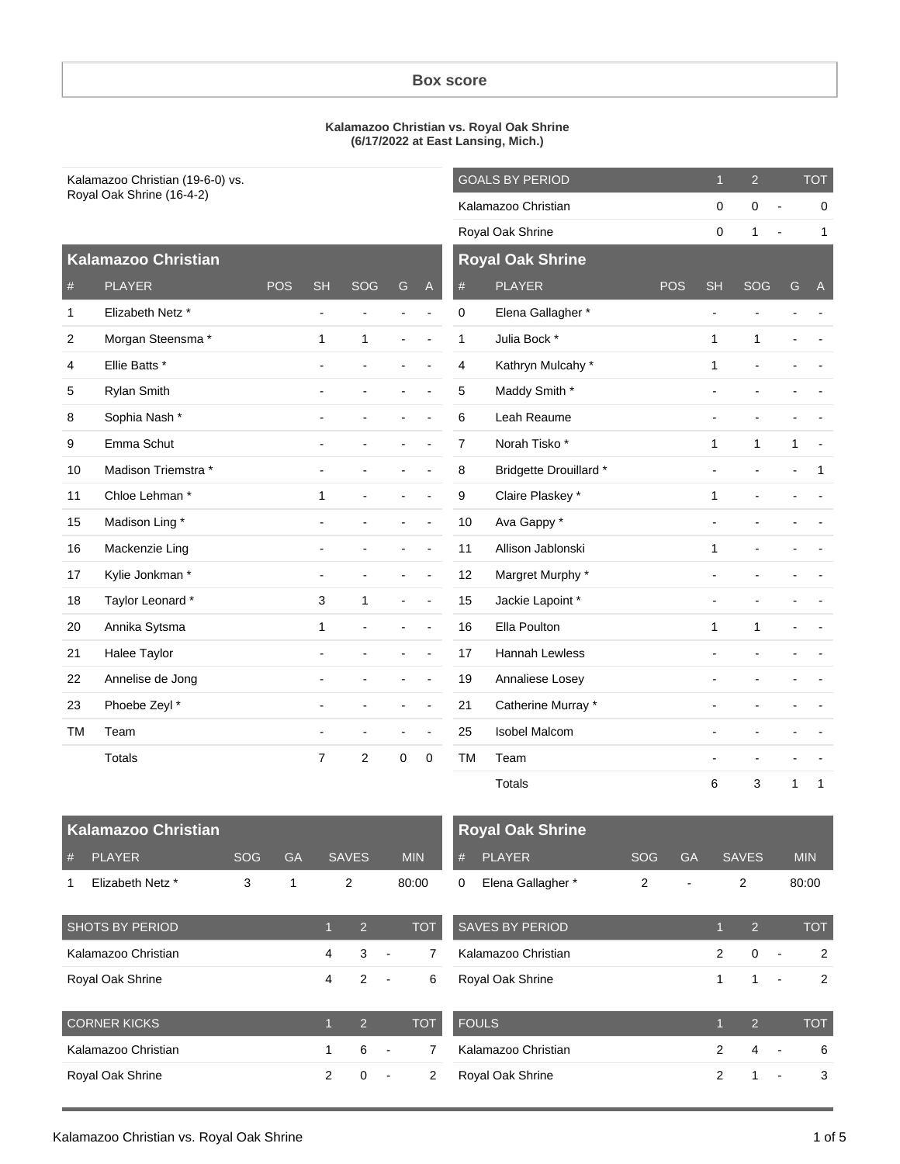#### **Box score**

#### **Kalamazoo Christian vs. Royal Oak Shrine (6/17/2022 at East Lansing, Mich.)**

|    | Kalamazoo Christian (19-6-0) vs. |     |                          |                          |                              |                          |                | <b>GOALS BY PERIOD</b>  |            | $\overline{1}$           | $\overline{2}$               |              | <b>TOT</b>   |
|----|----------------------------------|-----|--------------------------|--------------------------|------------------------------|--------------------------|----------------|-------------------------|------------|--------------------------|------------------------------|--------------|--------------|
|    | Royal Oak Shrine (16-4-2)        |     |                          |                          |                              |                          |                | Kalamazoo Christian     |            | 0                        | $\mathbf 0$                  |              | $\Omega$     |
|    |                                  |     |                          |                          |                              |                          |                | Royal Oak Shrine        |            | $\pmb{0}$                | $\mathbf{1}$                 |              | 1            |
|    | <b>Kalamazoo Christian</b>       |     |                          |                          |                              |                          |                | <b>Royal Oak Shrine</b> |            |                          |                              |              |              |
| #  | <b>PLAYER</b>                    | POS | <b>SH</b>                | SOG                      | G                            | $\overline{A}$           | #              | <b>PLAYER</b>           | <b>POS</b> | <b>SH</b>                | SOG                          | G            | $\mathsf{A}$ |
| 1  | Elizabeth Netz *                 |     | $\blacksquare$           | $\overline{a}$           |                              | $\blacksquare$           | 0              | Elena Gallagher*        |            | $\blacksquare$           | ÷                            |              |              |
| 2  | Morgan Steensma*                 |     | $\mathbf{1}$             | 1                        | $\overline{a}$               | ÷,                       | $\mathbf{1}$   | Julia Bock *            |            | 1                        | $\mathbf{1}$                 |              |              |
| 4  | Ellie Batts *                    |     | $\overline{a}$           |                          |                              |                          | 4              | Kathryn Mulcahy *       |            | $\mathbf{1}$             |                              |              |              |
| 5  | Rylan Smith                      |     |                          |                          |                              |                          | 5              | Maddy Smith *           |            |                          |                              |              |              |
| 8  | Sophia Nash*                     |     |                          |                          |                              |                          | 6              | Leah Reaume             |            |                          |                              |              |              |
| 9  | Emma Schut                       |     |                          |                          |                              |                          | $\overline{7}$ | Norah Tisko*            |            | 1                        | $\mathbf{1}$                 | 1            |              |
| 10 | Madison Triemstra *              |     |                          |                          |                              |                          | 8              | Bridgette Drouillard *  |            | $\overline{\phantom{a}}$ | $\overline{a}$               |              | $\mathbf{1}$ |
| 11 | Chloe Lehman*                    |     | $\mathbf{1}$             | ÷.                       |                              |                          | 9              | Claire Plaskey *        |            | 1                        | $\overline{a}$               |              |              |
| 15 | Madison Ling *                   |     | $\blacksquare$           |                          |                              |                          | 10             | Ava Gappy *             |            |                          |                              |              |              |
| 16 | Mackenzie Ling                   |     | $\blacksquare$           |                          |                              | $\overline{a}$           | 11             | Allison Jablonski       |            | $\mathbf{1}$             | $\overline{a}$               |              |              |
| 17 | Kylie Jonkman*                   |     | $\overline{\phantom{a}}$ | $\overline{\phantom{a}}$ |                              | ÷                        | 12             | Margret Murphy *        |            |                          |                              |              |              |
| 18 | Taylor Leonard*                  |     | 3                        | $\mathbf{1}$             |                              | $\overline{\phantom{a}}$ | 15             | Jackie Lapoint *        |            | $\overline{\phantom{a}}$ | ÷,                           |              |              |
| 20 | Annika Sytsma                    |     | $\mathbf{1}$             | $\overline{\phantom{a}}$ | $\blacksquare$               | $\overline{\phantom{a}}$ | 16             | Ella Poulton            |            | 1                        | $\mathbf{1}$                 |              |              |
| 21 | Halee Taylor                     |     | $\blacksquare$           | $\blacksquare$           |                              | $\overline{\phantom{a}}$ | 17             | Hannah Lewless          |            | $\blacksquare$           | ÷                            |              |              |
| 22 | Annelise de Jong                 |     | $\blacksquare$           | $\overline{\phantom{a}}$ | $\blacksquare$               | $\overline{\phantom{a}}$ | 19             | Annaliese Losey         |            | $\blacksquare$           | $\overline{a}$               |              |              |
| 23 | Phoebe Zeyl *                    |     | $\blacksquare$           | $\blacksquare$           | $\qquad \qquad \blacksquare$ | $\blacksquare$           | 21             | Catherine Murray *      |            | $\blacksquare$           | $\overline{a}$               |              |              |
| TM | Team                             |     | $\blacksquare$           | $\overline{\phantom{a}}$ |                              | $\blacksquare$           | 25             | Isobel Malcom           |            | $\blacksquare$           | $\overline{\phantom{0}}$     |              |              |
|    | <b>Totals</b>                    |     | 7                        | $\overline{2}$           | $\mathsf{O}\xspace$          | $\pmb{0}$                | TM             | Team                    |            | $\blacksquare$           | $\qquad \qquad \blacksquare$ |              |              |
|    |                                  |     |                          |                          |                              |                          |                | <b>Totals</b>           |            | 6                        | $\mathbf{3}$                 | $\mathbf{1}$ | $\mathbf{1}$ |

|    | Kalamazoo Christian |        |     |         |            |  |
|----|---------------------|--------|-----|---------|------------|--|
| #  | PLAYER              | 'SOG . | GA. | 'SAVES. | <b>MIN</b> |  |
| -1 | Elizabeth Netz *    | 2      |     |         | 80:00      |  |

| <b>SHOTS BY PERIOD</b> | Y). | 2             | TOT |
|------------------------|-----|---------------|-----|
| Kalamazoo Christian    | 4   | 3             |     |
| Royal Oak Shrine       | 4   | $\mathcal{P}$ | ิค  |
|                        |     |               |     |
| <b>CORNER KICKS</b>    | 1   | $\mathcal{P}$ | TOT |
| Kalamazoo Christian    | 1   | 6             |     |

|   | <b>Royal Oak Shrine</b> |     |                |          |            |
|---|-------------------------|-----|----------------|----------|------------|
|   | # PLAYER                | SOG |                | GA SAVES | <b>MIN</b> |
| 0 | Elena Gallagher *       | 2   | $\blacksquare$ | 2        | 80:00      |

| <b>SAVES BY PERIOD</b> | 1 | 2              | TOT        |
|------------------------|---|----------------|------------|
| Kalamazoo Christian    | 2 | 0              |            |
| Royal Oak Shrine       | 1 | 1              | 2          |
|                        |   |                |            |
| <b>FOULS</b>           | 1 | 2              | <b>TOT</b> |
| Kalamazoo Christian    | 2 | $\overline{4}$ | 6          |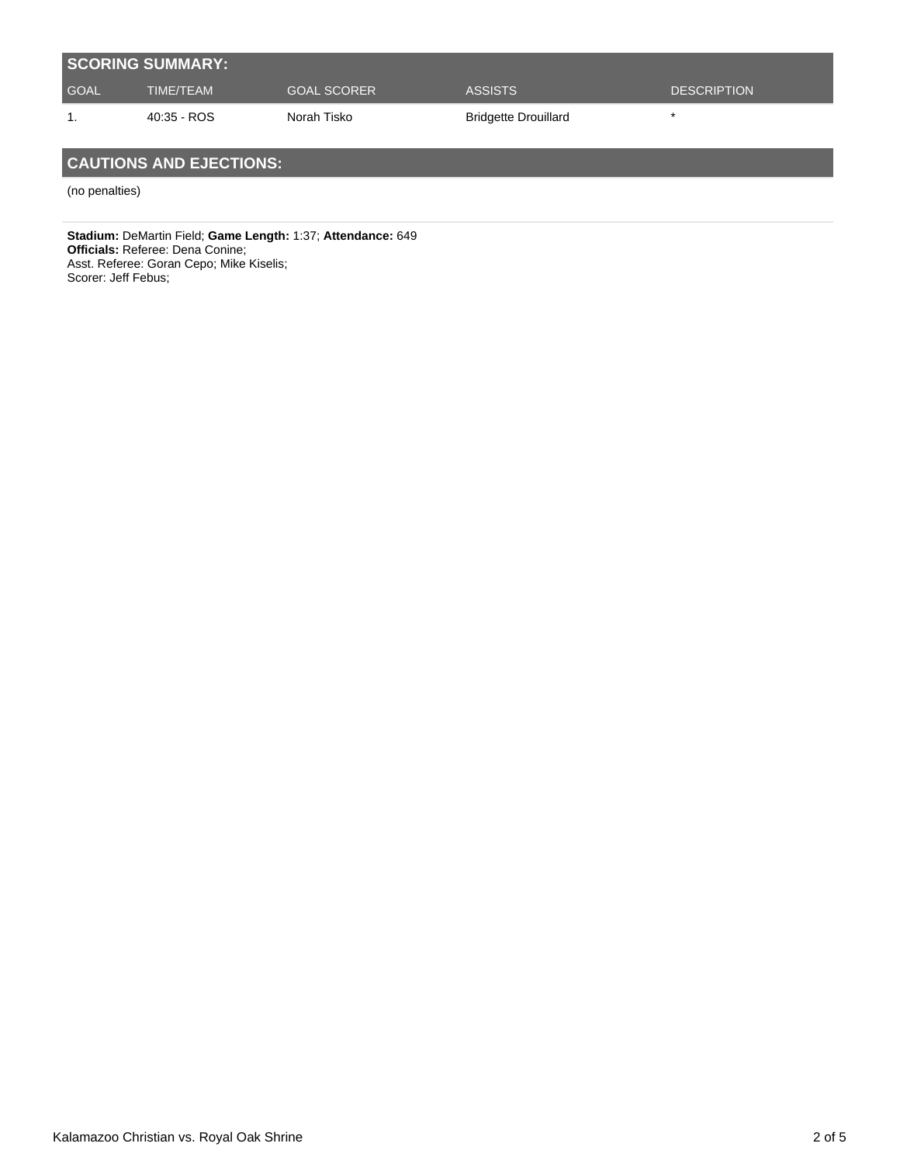|      | <b>SCORING SUMMARY:</b> |                    |                             |                    |
|------|-------------------------|--------------------|-----------------------------|--------------------|
| GOAL | TIME/TEAM               | <b>GOAL SCORER</b> | <b>ASSISTS</b>              | <b>DESCRIPTION</b> |
|      | 40:35 - ROS             | Norah Tisko        | <b>Bridgette Drouillard</b> |                    |

## **CAUTIONS AND EJECTIONS:**

(no penalties)

**Stadium:** DeMartin Field; **Game Length:** 1:37; **Attendance:** 649 **Officials:** Referee: Dena Conine; Asst. Referee: Goran Cepo; Mike Kiselis; Scorer: Jeff Febus;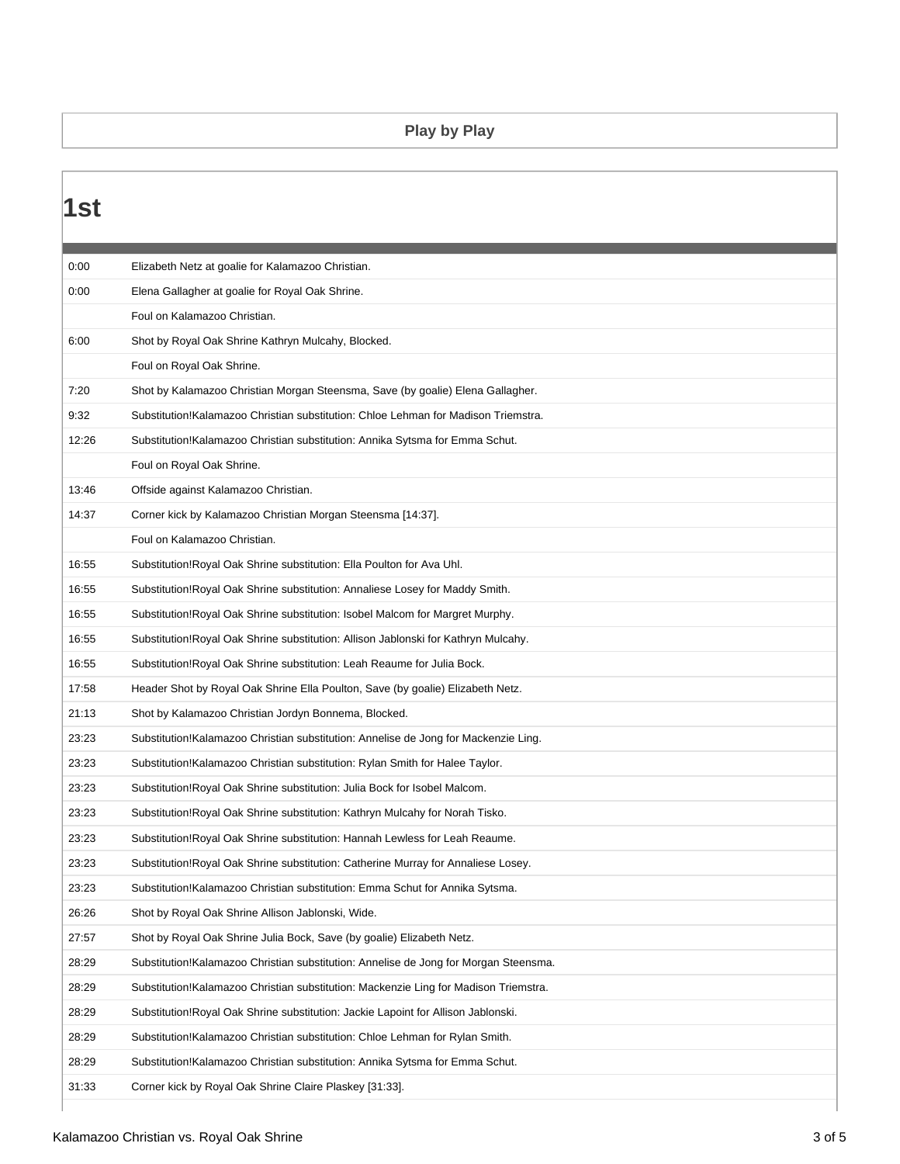## **Play by Play**

| 1st   |                                                                                       |
|-------|---------------------------------------------------------------------------------------|
| 0:00  | Elizabeth Netz at goalie for Kalamazoo Christian.                                     |
| 0:00  | Elena Gallagher at goalie for Royal Oak Shrine.                                       |
|       | Foul on Kalamazoo Christian.                                                          |
| 6:00  | Shot by Royal Oak Shrine Kathryn Mulcahy, Blocked.                                    |
|       | Foul on Royal Oak Shrine.                                                             |
| 7:20  | Shot by Kalamazoo Christian Morgan Steensma, Save (by goalie) Elena Gallagher.        |
| 9:32  | Substitution! Kalamazoo Christian substitution: Chloe Lehman for Madison Triemstra.   |
| 12:26 | Substitution!Kalamazoo Christian substitution: Annika Sytsma for Emma Schut.          |
|       | Foul on Royal Oak Shrine.                                                             |
| 13:46 | Offside against Kalamazoo Christian.                                                  |
| 14:37 | Corner kick by Kalamazoo Christian Morgan Steensma [14:37].                           |
|       | Foul on Kalamazoo Christian.                                                          |
| 16:55 | Substitution! Royal Oak Shrine substitution: Ella Poulton for Ava Uhl.                |
| 16:55 | Substitution!Royal Oak Shrine substitution: Annaliese Losey for Maddy Smith.          |
| 16:55 | Substitution!Royal Oak Shrine substitution: Isobel Malcom for Margret Murphy.         |
| 16:55 | Substitution! Royal Oak Shrine substitution: Allison Jablonski for Kathryn Mulcahy.   |
| 16:55 | Substitution!Royal Oak Shrine substitution: Leah Reaume for Julia Bock.               |
| 17:58 | Header Shot by Royal Oak Shrine Ella Poulton, Save (by goalie) Elizabeth Netz.        |
| 21:13 | Shot by Kalamazoo Christian Jordyn Bonnema, Blocked.                                  |
| 23:23 | Substitution!Kalamazoo Christian substitution: Annelise de Jong for Mackenzie Ling.   |
| 23:23 | Substitution!Kalamazoo Christian substitution: Rylan Smith for Halee Taylor.          |
| 23:23 | Substitution!Royal Oak Shrine substitution: Julia Bock for Isobel Malcom.             |
| 23:23 | Substitution! Royal Oak Shrine substitution: Kathryn Mulcahy for Norah Tisko.         |
| 23:23 | Substitution! Royal Oak Shrine substitution: Hannah Lewless for Leah Reaume.          |
| 23:23 | Substitution! Royal Oak Shrine substitution: Catherine Murray for Annaliese Losey.    |
| 23:23 | Substitution!Kalamazoo Christian substitution: Emma Schut for Annika Sytsma.          |
| 26:26 | Shot by Royal Oak Shrine Allison Jablonski, Wide.                                     |
| 27:57 | Shot by Royal Oak Shrine Julia Bock, Save (by goalie) Elizabeth Netz.                 |
| 28:29 | Substitution! Kalamazoo Christian substitution: Annelise de Jong for Morgan Steensma. |
| 28:29 | Substitution!Kalamazoo Christian substitution: Mackenzie Ling for Madison Triemstra.  |
| 28:29 | Substitution!Royal Oak Shrine substitution: Jackie Lapoint for Allison Jablonski.     |
| 28:29 | Substitution!Kalamazoo Christian substitution: Chloe Lehman for Rylan Smith.          |
| 28:29 | Substitution! Kalamazoo Christian substitution: Annika Sytsma for Emma Schut.         |
| 31:33 | Corner kick by Royal Oak Shrine Claire Plaskey [31:33].                               |

T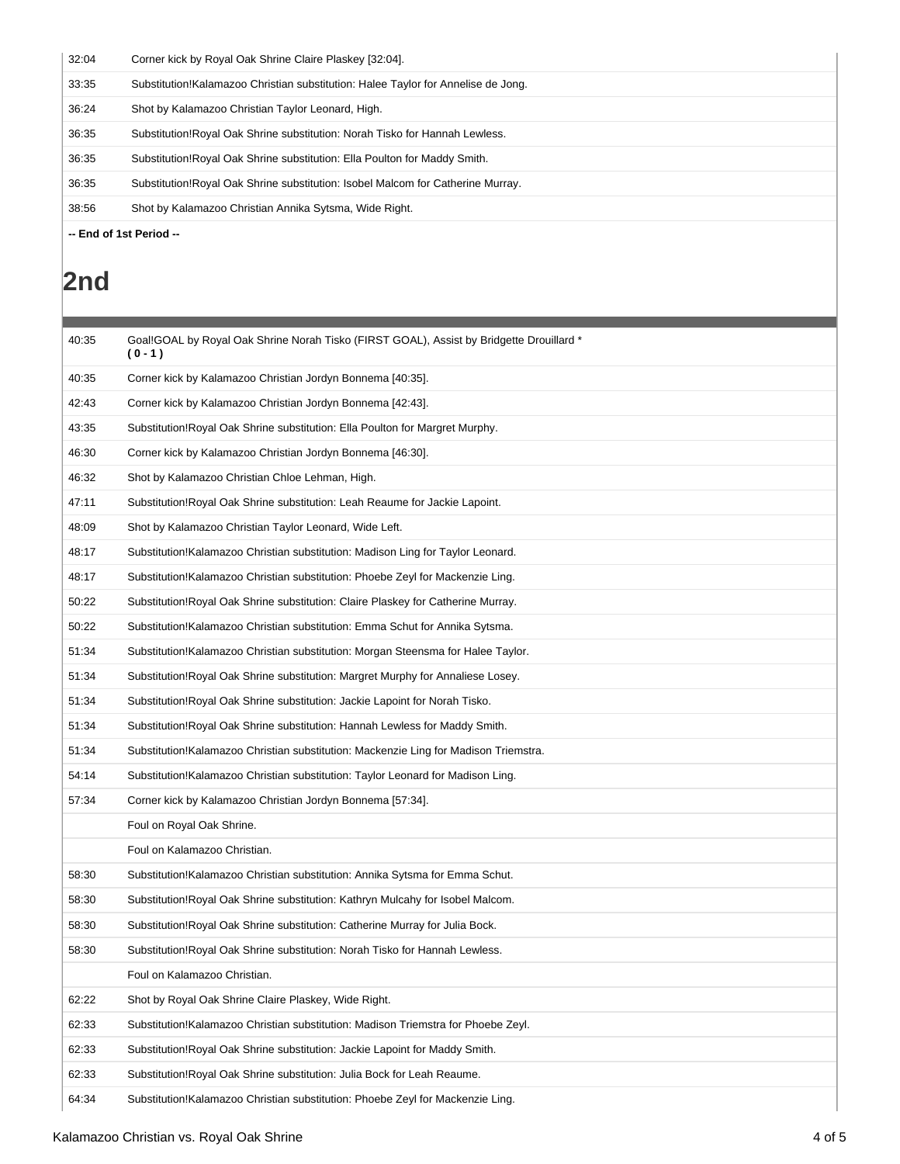|       | -- End of 1st Period --                                                           |
|-------|-----------------------------------------------------------------------------------|
| 38:56 | Shot by Kalamazoo Christian Annika Sytsma, Wide Right.                            |
| 36:35 | Substitution! Royal Oak Shrine substitution: Isobel Malcom for Catherine Murray.  |
| 36:35 | Substitution! Royal Oak Shrine substitution: Ella Poulton for Maddy Smith.        |
| 36:35 | Substitution! Royal Oak Shrine substitution: Norah Tisko for Hannah Lewless.      |
| 36:24 | Shot by Kalamazoo Christian Taylor Leonard, High.                                 |
| 33:35 | Substitution!Kalamazoo Christian substitution: Halee Taylor for Annelise de Jong. |
| 32:04 | Corner kick by Royal Oak Shrine Claire Plaskey [32:04].                           |

# **2nd**

| 40:35 | Goal!GOAL by Royal Oak Shrine Norah Tisko (FIRST GOAL), Assist by Bridgette Drouillard *<br>$(0-1)$ |
|-------|-----------------------------------------------------------------------------------------------------|
| 40:35 | Corner kick by Kalamazoo Christian Jordyn Bonnema [40:35].                                          |
| 42:43 | Corner kick by Kalamazoo Christian Jordyn Bonnema [42:43].                                          |
| 43:35 | Substitution!Royal Oak Shrine substitution: Ella Poulton for Margret Murphy.                        |
| 46:30 | Corner kick by Kalamazoo Christian Jordyn Bonnema [46:30].                                          |
| 46:32 | Shot by Kalamazoo Christian Chloe Lehman, High.                                                     |
| 47:11 | Substitution!Royal Oak Shrine substitution: Leah Reaume for Jackie Lapoint.                         |
| 48:09 | Shot by Kalamazoo Christian Taylor Leonard, Wide Left.                                              |
| 48:17 | Substitution!Kalamazoo Christian substitution: Madison Ling for Taylor Leonard.                     |
| 48:17 | Substitution!Kalamazoo Christian substitution: Phoebe Zeyl for Mackenzie Ling.                      |
| 50:22 | Substitution!Royal Oak Shrine substitution: Claire Plaskey for Catherine Murray.                    |
| 50:22 | Substitution!Kalamazoo Christian substitution: Emma Schut for Annika Sytsma.                        |
| 51:34 | Substitution! Kalamazoo Christian substitution: Morgan Steensma for Halee Taylor.                   |
| 51:34 | Substitution!Royal Oak Shrine substitution: Margret Murphy for Annaliese Losey.                     |
| 51:34 | Substitution!Royal Oak Shrine substitution: Jackie Lapoint for Norah Tisko.                         |
| 51:34 | Substitution!Royal Oak Shrine substitution: Hannah Lewless for Maddy Smith.                         |
| 51:34 | Substitution!Kalamazoo Christian substitution: Mackenzie Ling for Madison Triemstra.                |
| 54:14 | Substitution! Kalamazoo Christian substitution: Taylor Leonard for Madison Ling.                    |
| 57:34 | Corner kick by Kalamazoo Christian Jordyn Bonnema [57:34].                                          |
|       | Foul on Royal Oak Shrine.                                                                           |
|       | Foul on Kalamazoo Christian.                                                                        |
| 58:30 | Substitution!Kalamazoo Christian substitution: Annika Sytsma for Emma Schut.                        |
| 58:30 | Substitution! Royal Oak Shrine substitution: Kathryn Mulcahy for Isobel Malcom.                     |
| 58:30 | Substitution!Royal Oak Shrine substitution: Catherine Murray for Julia Bock.                        |
| 58:30 | Substitution! Royal Oak Shrine substitution: Norah Tisko for Hannah Lewless.                        |
|       | Foul on Kalamazoo Christian.                                                                        |
| 62:22 | Shot by Royal Oak Shrine Claire Plaskey, Wide Right.                                                |
| 62:33 | Substitution!Kalamazoo Christian substitution: Madison Triemstra for Phoebe Zeyl.                   |
| 62:33 | Substitution!Royal Oak Shrine substitution: Jackie Lapoint for Maddy Smith.                         |
| 62:33 | Substitution!Royal Oak Shrine substitution: Julia Bock for Leah Reaume.                             |
| 64:34 | Substitution!Kalamazoo Christian substitution: Phoebe Zeyl for Mackenzie Ling.                      |